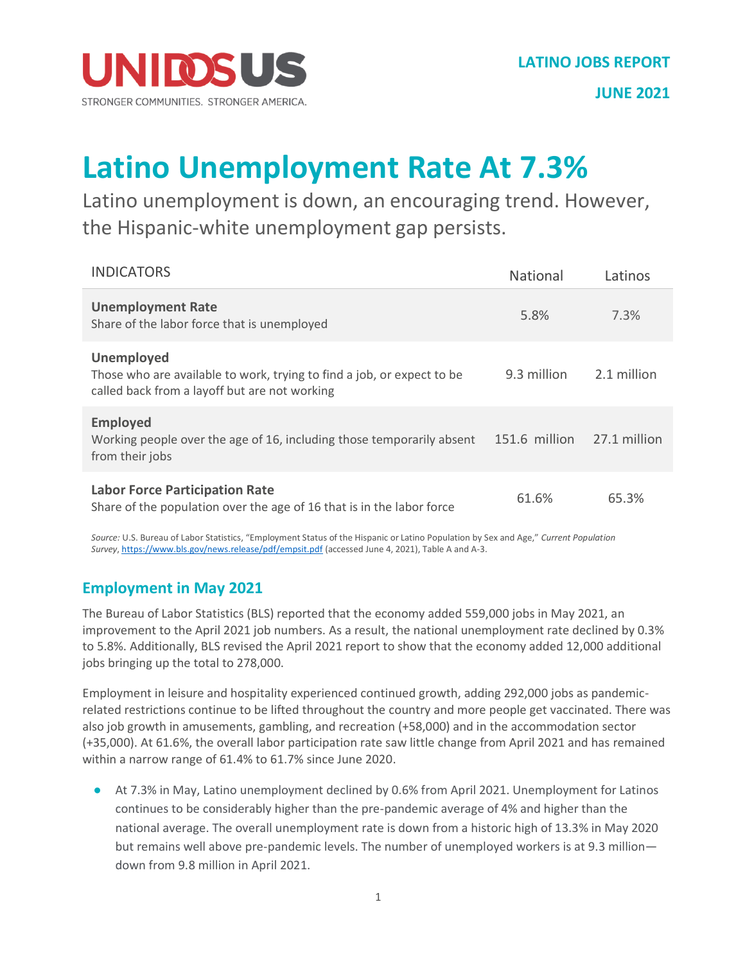

**JUNE 2021**

## **Latino Unemployment Rate At 7.3%**

Latino unemployment is down, an encouraging trend. However, the Hispanic-white unemployment gap persists.

| <b>INDICATORS</b>                                                                                                                            | <b>National</b> | Latinos      |
|----------------------------------------------------------------------------------------------------------------------------------------------|-----------------|--------------|
| <b>Unemployment Rate</b><br>Share of the labor force that is unemployed                                                                      | 5.8%            | 7.3%         |
| <b>Unemployed</b><br>Those who are available to work, trying to find a job, or expect to be<br>called back from a layoff but are not working | 9.3 million     | 2.1 million  |
| <b>Employed</b><br>Working people over the age of 16, including those temporarily absent<br>from their jobs                                  | 151.6 million   | 27.1 million |
| <b>Labor Force Participation Rate</b><br>Share of the population over the age of 16 that is in the labor force                               | 61.6%           | 65.3%        |

*Source:*U.S. Bureau of Labor Statistics, "Employment Status of the Hispanic or Latino Population by Sex and Age," *Current Population Survey*, <https://www.bls.gov/news.release/pdf/empsit.pdf> (accessed June 4, 2021), Table A and A-3.

## **Employment in May 2021**

The Bureau of Labor Statistics (BLS) reported that the economy added 559,000 jobs in May 2021, an improvement to the April 2021 job numbers. As a result, the national unemployment rate declined by 0.3% to 5.8%. Additionally, BLS revised the April 2021 report to show that the economy added 12,000 additional jobs bringing up the total to 278,000.

Employment in leisure and hospitality experienced continued growth, adding 292,000 jobs as pandemicrelated restrictions continue to be lifted throughout the country and more people get vaccinated. There was also job growth in amusements, gambling, and recreation (+58,000) and in the accommodation sector (+35,000). At 61.6%, the overall labor participation rate saw little change from April 2021 and has remained within a narrow range of 61.4% to 61.7% since June 2020.

● At 7.3% in May, Latino unemployment declined by 0.6% from April 2021. Unemployment for Latinos continues to be considerably higher than the pre-pandemic average of 4% and higher than the national average. The overall unemployment rate is down from a historic high of 13.3% in May 2020 but remains well above pre-pandemic levels. The number of unemployed workers is at 9.3 million down from 9.8 million in April 2021.